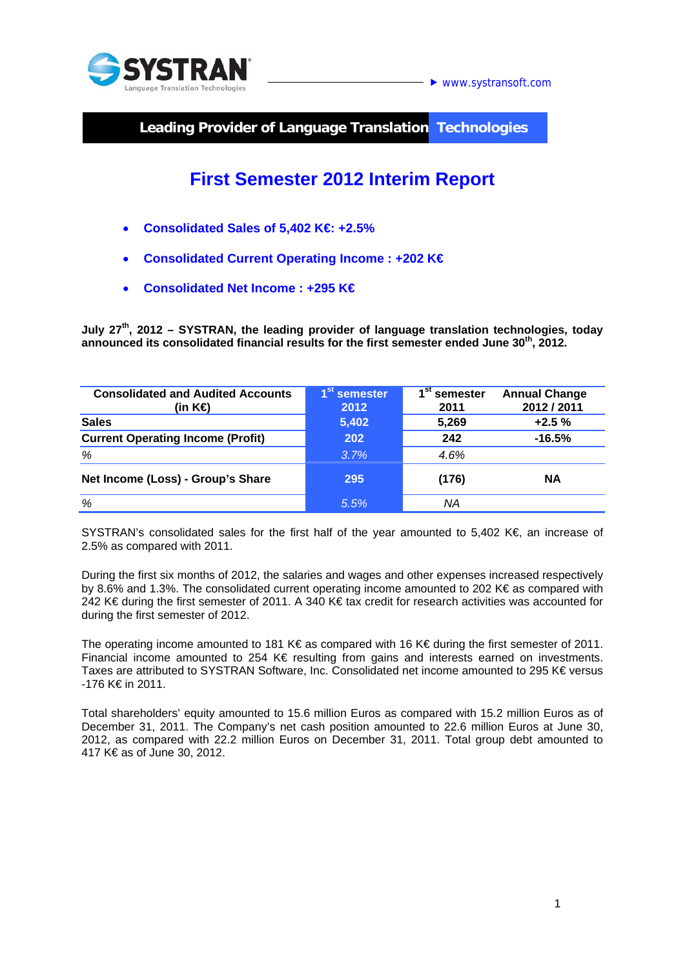

www.systransoft.com

**Leading Provider of Language Translation Technologies** 

# **First Semester 2012 Interim Report**

- **Consolidated Sales of 5,402 K€: +2.5%**
- **Consolidated Current Operating Income : +202 K€**
- **Consolidated Net Income : +295 K€**

**July 27th, 2012 – SYSTRAN, the leading provider of language translation technologies, today announced its consolidated financial results for the first semester ended June 30th, 2012.** 

| <b>Consolidated and Audited Accounts</b><br>(in K $\bigoplus$ | 1 <sup>st</sup><br>semester<br>2012 | st<br>semester<br>2011 | <b>Annual Change</b><br>2012 / 2011 |
|---------------------------------------------------------------|-------------------------------------|------------------------|-------------------------------------|
| <b>Sales</b>                                                  | 5,402                               | 5,269                  | $+2.5%$                             |
| <b>Current Operating Income (Profit)</b>                      | 202                                 | 242                    | $-16.5%$                            |
| %                                                             | 3.7%                                | 4.6%                   |                                     |
| Net Income (Loss) - Group's Share                             | 295                                 | (176)                  | <b>NA</b>                           |
| %                                                             | 5.5%                                | ΝA                     |                                     |

SYSTRAN's consolidated sales for the first half of the year amounted to 5,402 K€, an increase of 2.5% as compared with 2011.

During the first six months of 2012, the salaries and wages and other expenses increased respectively by 8.6% and 1.3%. The consolidated current operating income amounted to 202 K€ as compared with 242 K€ during the first semester of 2011. A 340 K€ tax credit for research activities was accounted for during the first semester of 2012.

The operating income amounted to 181 K€ as compared with 16 K€ during the first semester of 2011. Financial income amounted to 254 K€ resulting from gains and interests earned on investments. Taxes are attributed to SYSTRAN Software, Inc. Consolidated net income amounted to 295 K€ versus -176 K€ in 2011.

Total shareholders' equity amounted to 15.6 million Euros as compared with 15.2 million Euros as of December 31, 2011. The Company's net cash position amounted to 22.6 million Euros at June 30, 2012, as compared with 22.2 million Euros on December 31, 2011. Total group debt amounted to 417 K€ as of June 30, 2012.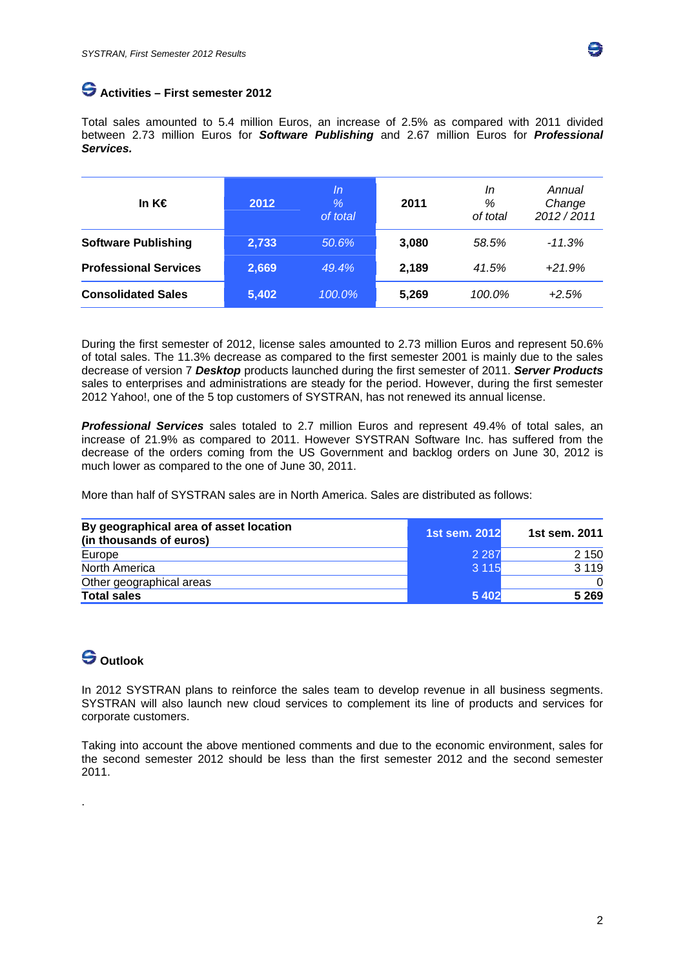

# **Activities – First semester 2012**

Total sales amounted to 5.4 million Euros, an increase of 2.5% as compared with 2011 divided between 2.73 million Euros for *Software Publishing* and 2.67 million Euros for *Professional Services.*

| In $K \in$                   | 2012  | In<br>$\%$<br>of total | 2011  | In<br>%<br>of total | Annual<br>Change<br>2012/2011 |
|------------------------------|-------|------------------------|-------|---------------------|-------------------------------|
| <b>Software Publishing</b>   | 2,733 | 50.6%                  | 3,080 | 58.5%               | $-11.3%$                      |
| <b>Professional Services</b> | 2,669 | 49.4%                  | 2,189 | 41.5%               | $+21.9%$                      |
| <b>Consolidated Sales</b>    | 5,402 | 100.0%                 | 5,269 | 100.0%              | $+2.5%$                       |

During the first semester of 2012, license sales amounted to 2.73 million Euros and represent 50.6% of total sales. The 11.3% decrease as compared to the first semester 2001 is mainly due to the sales decrease of version 7 *Desktop* products launched during the first semester of 2011. *Server Products* sales to enterprises and administrations are steady for the period. However, during the first semester 2012 Yahoo!, one of the 5 top customers of SYSTRAN, has not renewed its annual license.

*Professional Services* sales totaled to 2.7 million Euros and represent 49.4% of total sales, an increase of 21.9% as compared to 2011. However SYSTRAN Software Inc. has suffered from the decrease of the orders coming from the US Government and backlog orders on June 30, 2012 is much lower as compared to the one of June 30, 2011.

More than half of SYSTRAN sales are in North America. Sales are distributed as follows:

| By geographical area of asset location<br>(in thousands of euros) | 1st sem. 2012 | 1st sem. 2011 |
|-------------------------------------------------------------------|---------------|---------------|
| Europe                                                            | 2 2 8 7       | 2 1 5 0       |
| North America                                                     | 3 1 1 5       | 3 1 1 9       |
| Other geographical areas                                          |               |               |
| <b>Total sales</b>                                                | 5 4 0 2       | 5 2 6 9       |

# **Outlook**

.

In 2012 SYSTRAN plans to reinforce the sales team to develop revenue in all business segments. SYSTRAN will also launch new cloud services to complement its line of products and services for corporate customers.

Taking into account the above mentioned comments and due to the economic environment, sales for the second semester 2012 should be less than the first semester 2012 and the second semester 2011.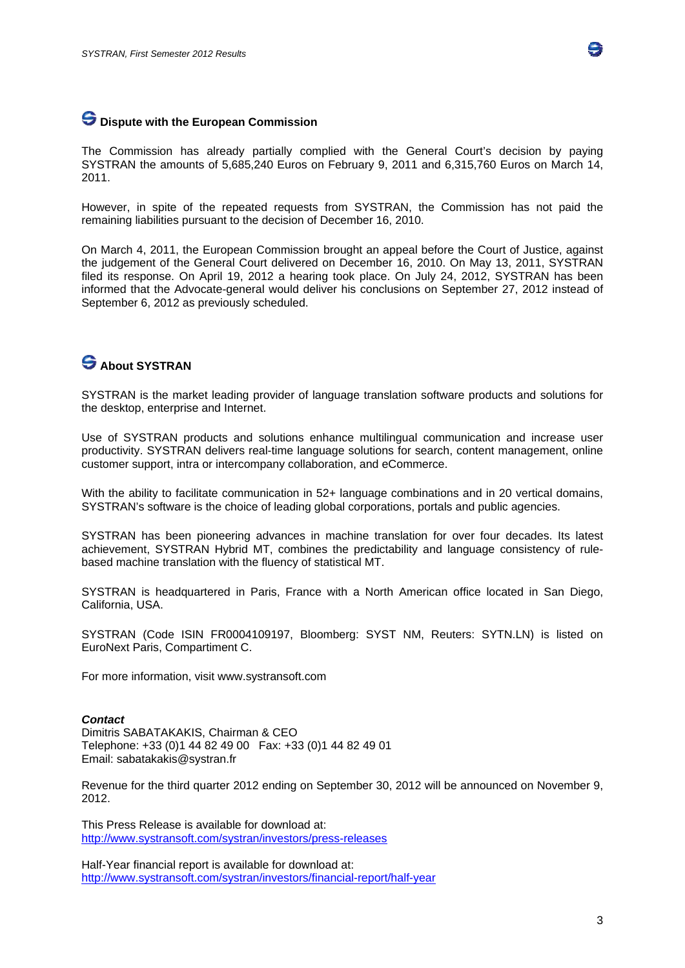

### **Dispute with the European Commission**

The Commission has already partially complied with the General Court's decision by paying SYSTRAN the amounts of 5,685,240 Euros on February 9, 2011 and 6,315,760 Euros on March 14, 2011.

However, in spite of the repeated requests from SYSTRAN, the Commission has not paid the remaining liabilities pursuant to the decision of December 16, 2010.

On March 4, 2011, the European Commission brought an appeal before the Court of Justice, against the judgement of the General Court delivered on December 16, 2010. On May 13, 2011, SYSTRAN filed its response. On April 19, 2012 a hearing took place. On July 24, 2012, SYSTRAN has been informed that the Advocate-general would deliver his conclusions on September 27, 2012 instead of September 6, 2012 as previously scheduled.

# **S** About SYSTRAN

SYSTRAN is the market leading provider of language translation software products and solutions for the desktop, enterprise and Internet.

Use of SYSTRAN products and solutions enhance multilingual communication and increase user productivity. SYSTRAN delivers real-time language solutions for search, content management, online customer support, intra or intercompany collaboration, and eCommerce.

With the ability to facilitate communication in 52+ language combinations and in 20 vertical domains, SYSTRAN's software is the choice of leading global corporations, portals and public agencies.

SYSTRAN has been pioneering advances in machine translation for over four decades. Its latest achievement, SYSTRAN Hybrid MT, combines the predictability and language consistency of rulebased machine translation with the fluency of statistical MT.

SYSTRAN is headquartered in Paris, France with a North American office located in San Diego, California, USA.

SYSTRAN (Code ISIN FR0004109197, Bloomberg: SYST NM, Reuters: SYTN.LN) is listed on EuroNext Paris, Compartiment C.

For more information, visit www.systransoft.com

#### *Contact*

Dimitris SABATAKAKIS, Chairman & CEO Telephone: +33 (0)1 44 82 49 00 Fax: +33 (0)1 44 82 49 01 Email: sabatakakis@systran.fr

Revenue for the third quarter 2012 ending on September 30, 2012 will be announced on November 9, 2012.

This Press Release is available for download at: http://www.systransoft.com/systran/investors/press-releases

Half-Year financial report is available for download at: http://www.systransoft.com/systran/investors/financial-report/half-year